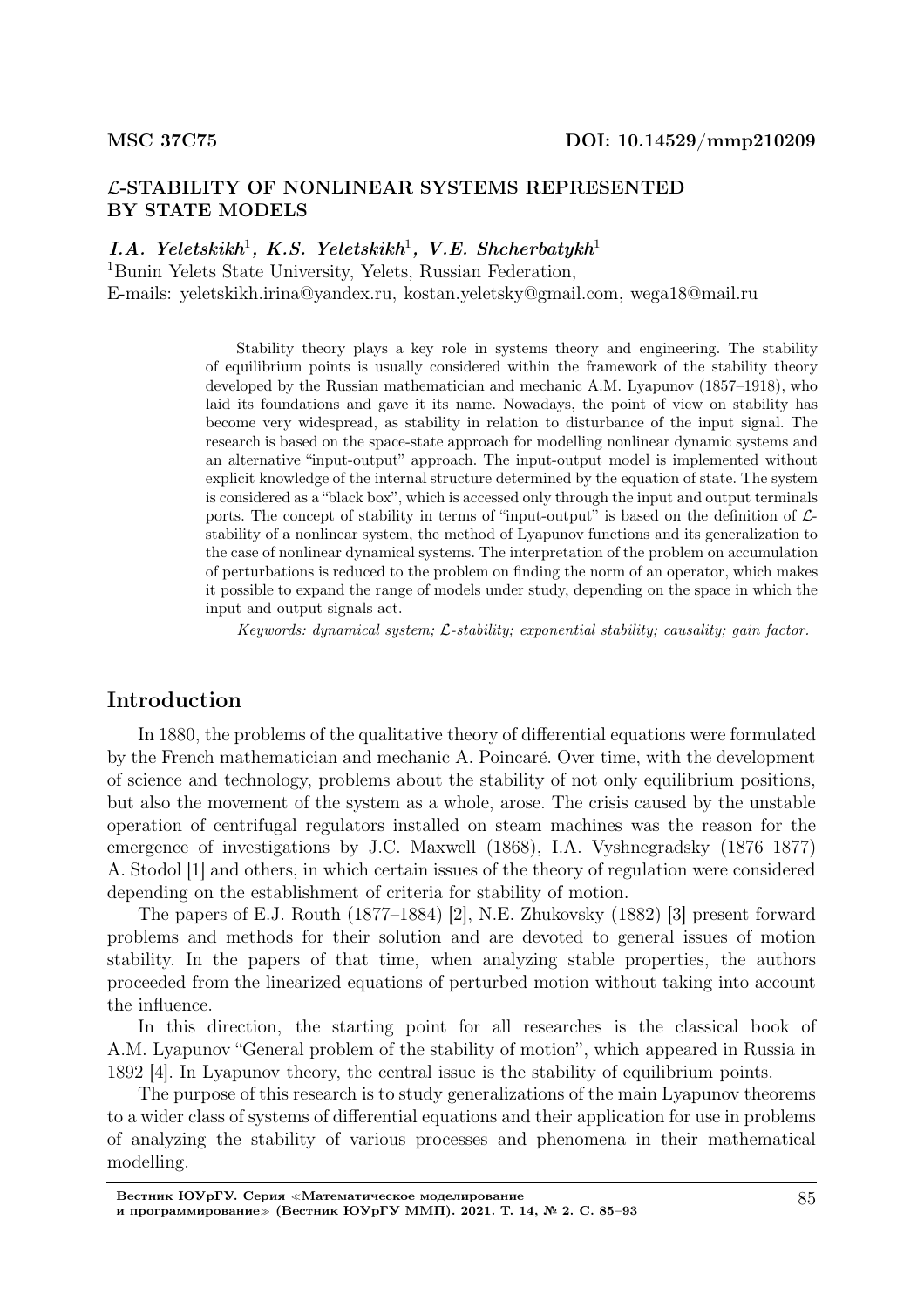## L-STABILITY OF NONLINEAR SYSTEMS REPRESENTED BY STATE MODELS

 $I.A.$  Yeletskikh<sup>1</sup>, K.S. Yeletskikh<sup>1</sup>, V.E. Shcherbatykh<sup>1</sup>

<sup>1</sup>Bunin Yelets State University, Yelets, Russian Federation, E-mails: yeletskikh.irina@yandex.ru, kostan.yeletsky@gmail.com, wega18@mail.ru

> Stability theory plays a key role in systems theory and engineering. The stability of equilibrium points is usually considered within the framework of the stability theory developed by the Russian mathematician and mechanic A.M. Lyapunov (1857–1918), who laid its foundations and gave it its name. Nowadays, the point of view on stability has become very widespread, as stability in relation to disturbance of the input signal. The research is based on the space-state approach for modelling nonlinear dynamic systems and an alternative "input-output" approach. The input-output model is implemented without explicit knowledge of the internal structure determined by the equation of state. The system is considered as a "black box", which is accessed only through the input and output terminals ports. The concept of stability in terms of "input-output" is based on the definition of  $\mathcal{L}$ stability of a nonlinear system, the method of Lyapunov functions and its generalization to the case of nonlinear dynamical systems. The interpretation of the problem on accumulation of perturbations is reduced to the problem on finding the norm of an operator, which makes it possible to expand the range of models under study, depending on the space in which the input and output signals act.

Keywords: dynamical system; L-stability; exponential stability; causality; gain factor.

# Introduction

In 1880, the problems of the qualitative theory of differential equations were formulated by the French mathematician and mechanic A. Poincaré. Over time, with the development of science and technology, problems about the stability of not only equilibrium positions, but also the movement of the system as a whole, arose. The crisis caused by the unstable operation of centrifugal regulators installed on steam machines was the reason for the emergence of investigations by J.C. Maxwell (1868), I.A. Vyshnegradsky (1876–1877) A. Stodol [1] and others, in which certain issues of the theory of regulation were considered depending on the establishment of criteria for stability of motion.

The papers of E.J. Routh (1877–1884) [2], N.E. Zhukovsky (1882) [3] present forward problems and methods for their solution and are devoted to general issues of motion stability. In the papers of that time, when analyzing stable properties, the authors proceeded from the linearized equations of perturbed motion without taking into account the influence.

In this direction, the starting point for all researches is the classical book of A.M. Lyapunov "General problem of the stability of motion", which appeared in Russia in 1892 [4]. In Lyapunov theory, the central issue is the stability of equilibrium points.

The purpose of this research is to study generalizations of the main Lyapunov theorems to a wider class of systems of differential equations and their application for use in problems of analyzing the stability of various processes and phenomena in their mathematical modelling.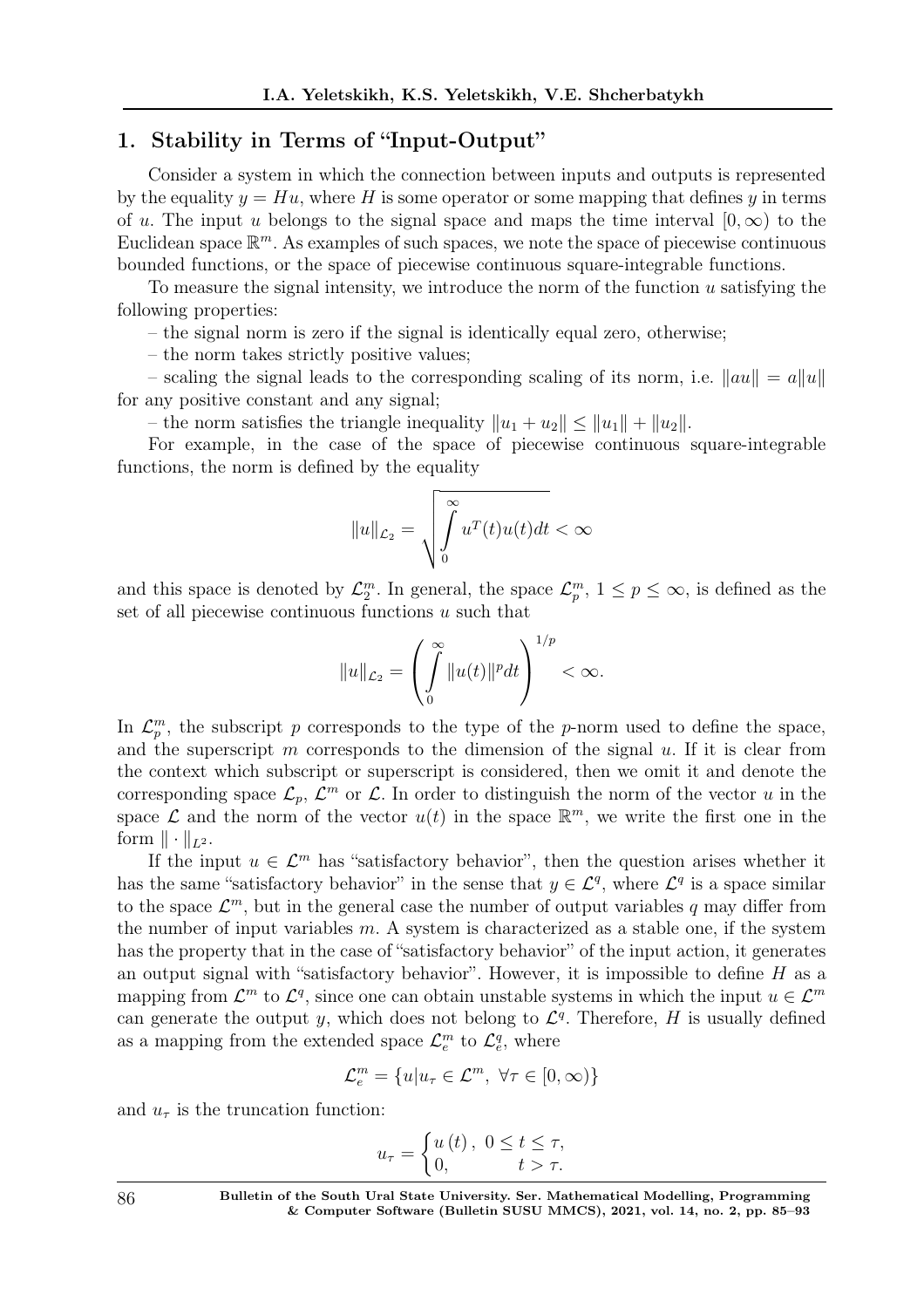## 1. Stability in Terms of "Input-Output"

Consider a system in which the connection between inputs and outputs is represented by the equality  $y = Hu$ , where H is some operator or some mapping that defines y in terms of u. The input u belongs to the signal space and maps the time interval  $[0,\infty)$  to the Euclidean space  $\mathbb{R}^m$ . As examples of such spaces, we note the space of piecewise continuous bounded functions, or the space of piecewise continuous square-integrable functions.

To measure the signal intensity, we introduce the norm of the function u satisfying the following properties:

– the signal norm is zero if the signal is identically equal zero, otherwise;

– the norm takes strictly positive values;

– scaling the signal leads to the corresponding scaling of its norm, i.e.  $\|au\| = a\|u\|$ for any positive constant and any signal;

– the norm satisfies the triangle inequality  $||u_1 + u_2|| \le ||u_1|| + ||u_2||$ .

For example, in the case of the space of piecewise continuous square-integrable functions, the norm is defined by the equality

$$
||u||_{\mathcal{L}_2} = \sqrt{\int_0^\infty u^T(t)u(t)dt} < \infty
$$

and this space is denoted by  $\mathcal{L}_2^m$ . In general, the space  $\mathcal{L}_p^m$ ,  $1 \leq p \leq \infty$ , is defined as the set of all piecewise continuous functions  $u$  such that

$$
||u||_{\mathcal{L}_2} = \left(\int\limits_0^\infty ||u(t)||^p dt\right)^{1/p} < \infty.
$$

In  $\mathcal{L}_p^m$ , the subscript p corresponds to the type of the p-norm used to define the space, and the superscript  $m$  corresponds to the dimension of the signal  $u$ . If it is clear from the context which subscript or superscript is considered, then we omit it and denote the corresponding space  $\mathcal{L}_p$ ,  $\mathcal{L}^m$  or  $\mathcal{L}$ . In order to distinguish the norm of the vector u in the space  $\mathcal L$  and the norm of the vector  $u(t)$  in the space  $\mathbb R^m$ , we write the first one in the form  $\|\cdot\|_{L^2}$ .

If the input  $u \in \mathcal{L}^m$  has "satisfactory behavior", then the question arises whether it has the same "satisfactory behavior" in the sense that  $y \in \mathcal{L}^q$ , where  $\mathcal{L}^q$  is a space similar to the space  $\mathcal{L}^m$ , but in the general case the number of output variables q may differ from the number of input variables  $m$ . A system is characterized as a stable one, if the system has the property that in the case of "satisfactory behavior" of the input action, it generates an output signal with "satisfactory behavior". However, it is impossible to define  $H$  as a mapping from  $\mathcal{L}^m$  to  $\mathcal{L}^q$ , since one can obtain unstable systems in which the input  $u \in \mathcal{L}^m$ can generate the output y, which does not belong to  $\mathcal{L}^q$ . Therefore, H is usually defined as a mapping from the extended space  $\mathcal{L}_e^m$  to  $\mathcal{L}_e^q$ , where

$$
\mathcal{L}_e^m = \{u | u_\tau \in \mathcal{L}^m, \ \forall \tau \in [0, \infty)\}
$$

and  $u_{\tau}$  is the truncation function:

$$
u_{\tau} = \begin{cases} u(t), & 0 \leq t \leq \tau, \\ 0, & t > \tau. \end{cases}
$$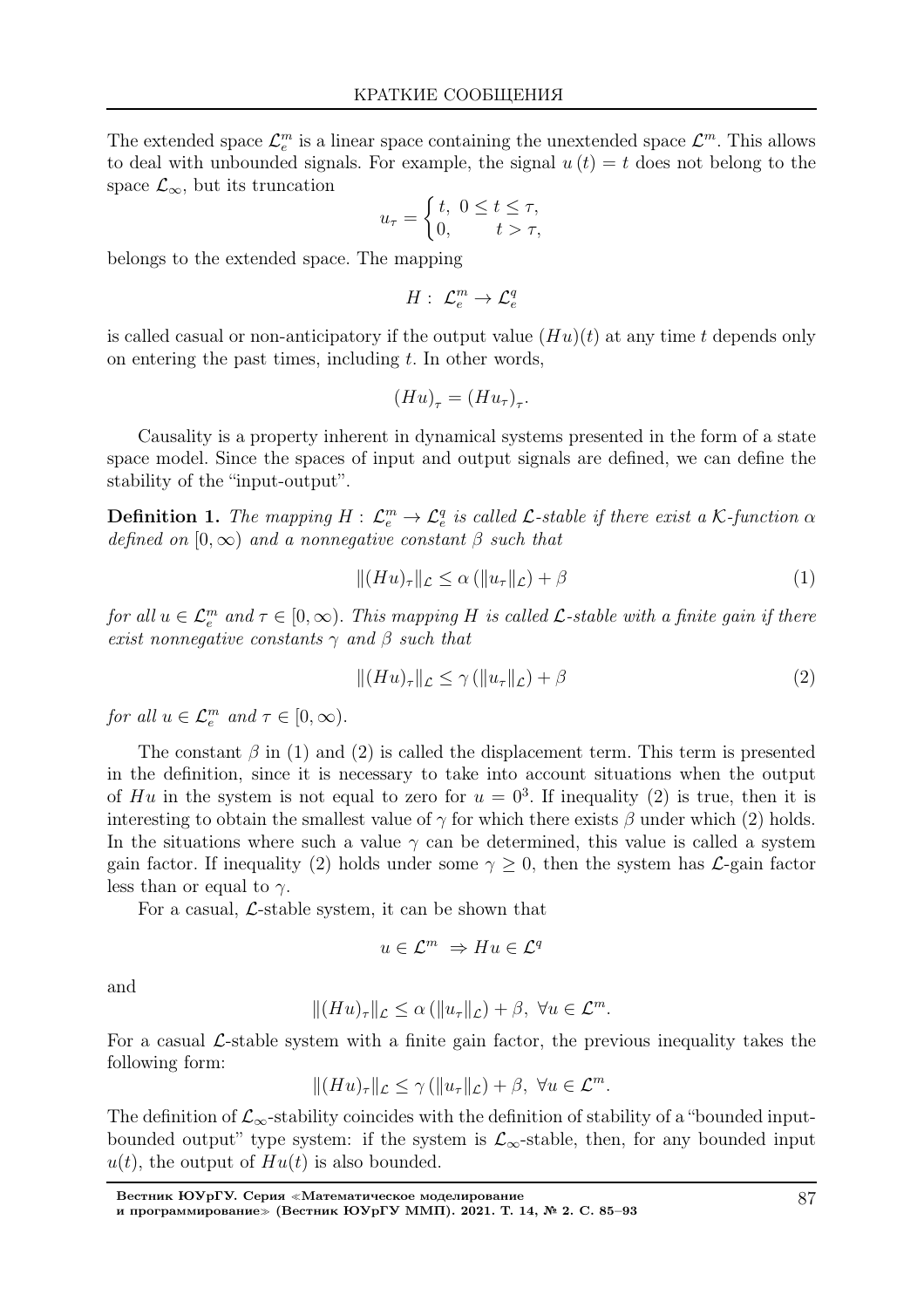The extended space  $\mathcal{L}_e^m$  is a linear space containing the unextended space  $\mathcal{L}^m$ . This allows to deal with unbounded signals. For example, the signal  $u(t) = t$  does not belong to the space  $\mathcal{L}_{\infty}$ , but its truncation

$$
u_{\tau} = \begin{cases} t, & 0 \leq t \leq \tau, \\ 0, & t > \tau, \end{cases}
$$

belongs to the extended space. The mapping

 $H: \mathcal{L}_e^m \to \mathcal{L}_e^q$ 

is called casual or non-anticipatory if the output value  $(Hu)(t)$  at any time t depends only on entering the past times, including  $t$ . In other words,

$$
(Hu)_{\tau} = (Hu_{\tau})_{\tau}.
$$

Causality is a property inherent in dynamical systems presented in the form of a state space model. Since the spaces of input and output signals are defined, we can define the stability of the "input-output".

**Definition 1.** The mapping  $H: \mathcal{L}_e^m \to \mathcal{L}_e^q$  is called  $\mathcal{L}\text{-stable}$  if there exist a K-function  $\alpha$ defined on  $[0, \infty)$  and a nonnegative constant  $\beta$  such that

$$
||(Hu)_\tau||_{\mathcal{L}} \le \alpha \left( ||u_\tau||_{\mathcal{L}} \right) + \beta \tag{1}
$$

for all  $u \in \mathcal{L}_e^m$  and  $\tau \in [0,\infty)$ . This mapping H is called  $\mathcal{L}$ -stable with a finite gain if there exist nonnegative constants  $\gamma$  and  $\beta$  such that

$$
||(Hu)_{\tau}||_{\mathcal{L}} \le \gamma \left( ||u_{\tau}||_{\mathcal{L}} \right) + \beta \tag{2}
$$

for all  $u \in \mathcal{L}_e^m$  and  $\tau \in [0, \infty)$ .

The constant  $\beta$  in (1) and (2) is called the displacement term. This term is presented in the definition, since it is necessary to take into account situations when the output of Hu in the system is not equal to zero for  $u = 0^3$ . If inequality (2) is true, then it is interesting to obtain the smallest value of  $\gamma$  for which there exists  $\beta$  under which (2) holds. In the situations where such a value  $\gamma$  can be determined, this value is called a system gain factor. If inequality (2) holds under some  $\gamma \geq 0$ , then the system has  $\mathcal{L}$ -gain factor less than or equal to  $\gamma$ .

For a casual,  $\mathcal{L}\text{-stable system}$ , it can be shown that

$$
u\in\mathcal{L}^m\ \Rightarrow Hu\in\mathcal{L}^q
$$

and

$$
|| (Hu)_\tau ||_{\mathcal{L}} \le \alpha \left( ||u_\tau ||_{\mathcal{L}} \right) + \beta, \ \forall u \in \mathcal{L}^m.
$$

For a casual L-stable system with a finite gain factor, the previous inequality takes the following form:

$$
||(Hu)_\tau||_{\mathcal{L}} \leq \gamma (||u_\tau||_{\mathcal{L}}) + \beta, \ \forall u \in \mathcal{L}^m.
$$

The definition of  $\mathcal{L}_{\infty}$ -stability coincides with the definition of stability of a "bounded inputbounded output" type system: if the system is  $\mathcal{L}_{\infty}$ -stable, then, for any bounded input  $u(t)$ , the output of  $Hu(t)$  is also bounded.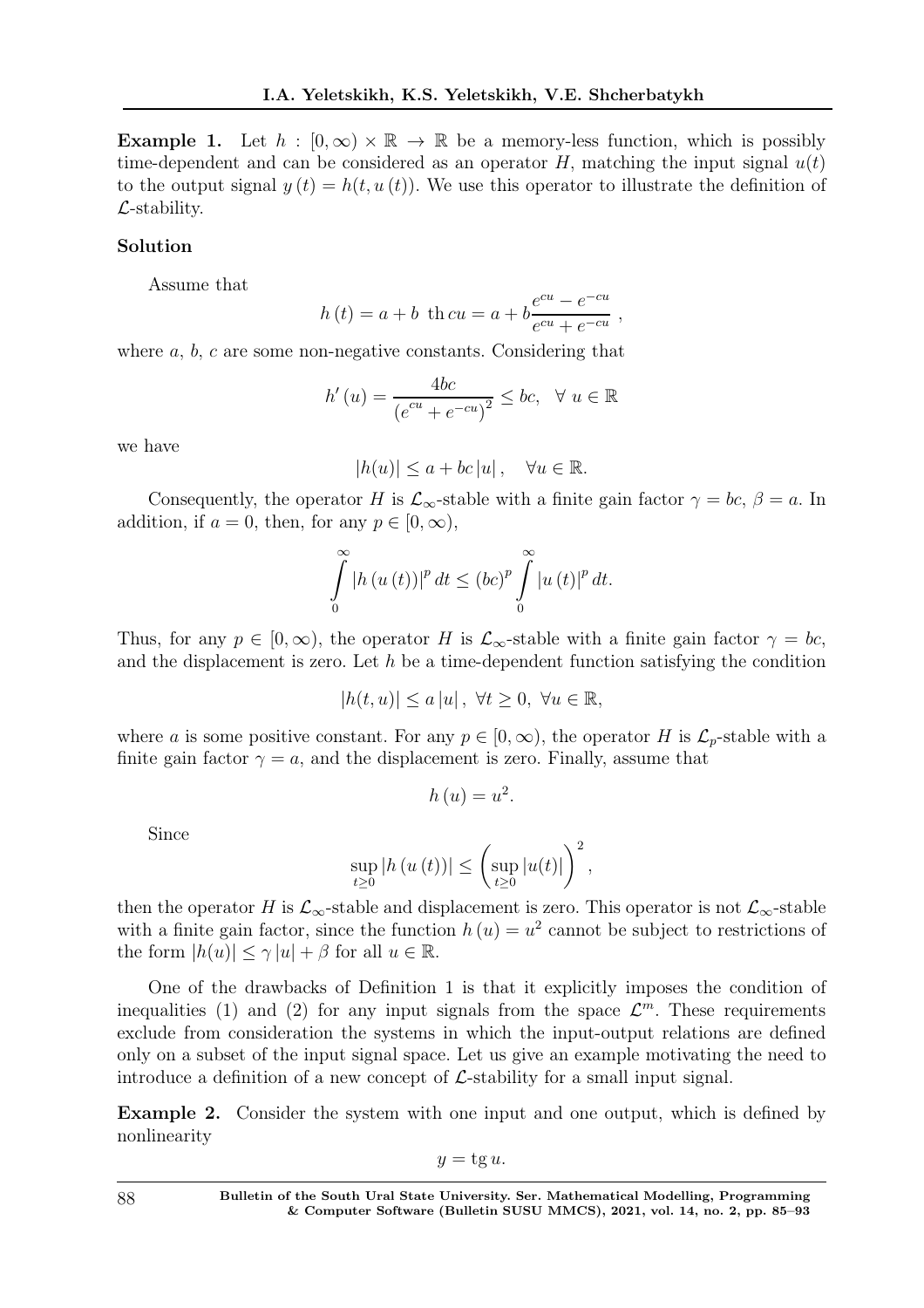**Example 1.** Let  $h : [0, \infty) \times \mathbb{R} \to \mathbb{R}$  be a memory-less function, which is possibly time-dependent and can be considered as an operator H, matching the input signal  $u(t)$ to the output signal  $y(t) = h(t, u(t))$ . We use this operator to illustrate the definition of  $\mathcal{L}$ -stability.

#### Solution

Assume that

$$
h(t) = a + b
$$
 th  $cu = a + b \frac{e^{cu} - e^{-cu}}{e^{cu} + e^{-cu}}$ 

,

where  $a, b, c$  are some non-negative constants. Considering that

$$
h'(u) = \frac{4bc}{\left(e^{cu} + e^{-cu}\right)^2} \le bc, \quad \forall \ u \in \mathbb{R}
$$

we have

$$
|h(u)| \le a + bc \, |u| \, , \quad \forall u \in \mathbb{R}.
$$

Consequently, the operator H is  $\mathcal{L}_{\infty}$ -stable with a finite gain factor  $\gamma = bc$ ,  $\beta = a$ . In addition, if  $a = 0$ , then, for any  $p \in [0, \infty)$ ,

$$
\int_{0}^{\infty} |h (u (t))|^{p} dt \leq (bc)^{p} \int_{0}^{\infty} |u (t)|^{p} dt.
$$

Thus, for any  $p \in [0,\infty)$ , the operator H is  $\mathcal{L}_{\infty}$ -stable with a finite gain factor  $\gamma = bc$ , and the displacement is zero. Let  $h$  be a time-dependent function satisfying the condition

$$
|h(t, u)| \le a |u|, \ \forall t \ge 0, \ \forall u \in \mathbb{R},
$$

where a is some positive constant. For any  $p \in [0,\infty)$ , the operator H is  $\mathcal{L}_p$ -stable with a finite gain factor  $\gamma = a$ , and the displacement is zero. Finally, assume that

$$
h\left( u\right) =u^{2}.
$$

Since

$$
\sup_{t\geq0}\left|h\left(u\left(t\right)\right)\right|\leq\left(\sup_{t\geq0}\left|u(t)\right|\right)^{2},
$$

then the operator H is  $\mathcal{L}_{\infty}$ -stable and displacement is zero. This operator is not  $\mathcal{L}_{\infty}$ -stable with a finite gain factor, since the function  $h(u) = u^2$  cannot be subject to restrictions of the form  $|h(u)| \leq \gamma |u| + \beta$  for all  $u \in \mathbb{R}$ .

One of the drawbacks of Definition 1 is that it explicitly imposes the condition of inequalities (1) and (2) for any input signals from the space  $\mathcal{L}^m$ . These requirements exclude from consideration the systems in which the input-output relations are defined only on a subset of the input signal space. Let us give an example motivating the need to introduce a definition of a new concept of  $\mathcal{L}$ -stability for a small input signal.

Example 2. Consider the system with one input and one output, which is defined by nonlinearity

 $y = \text{tg } u.$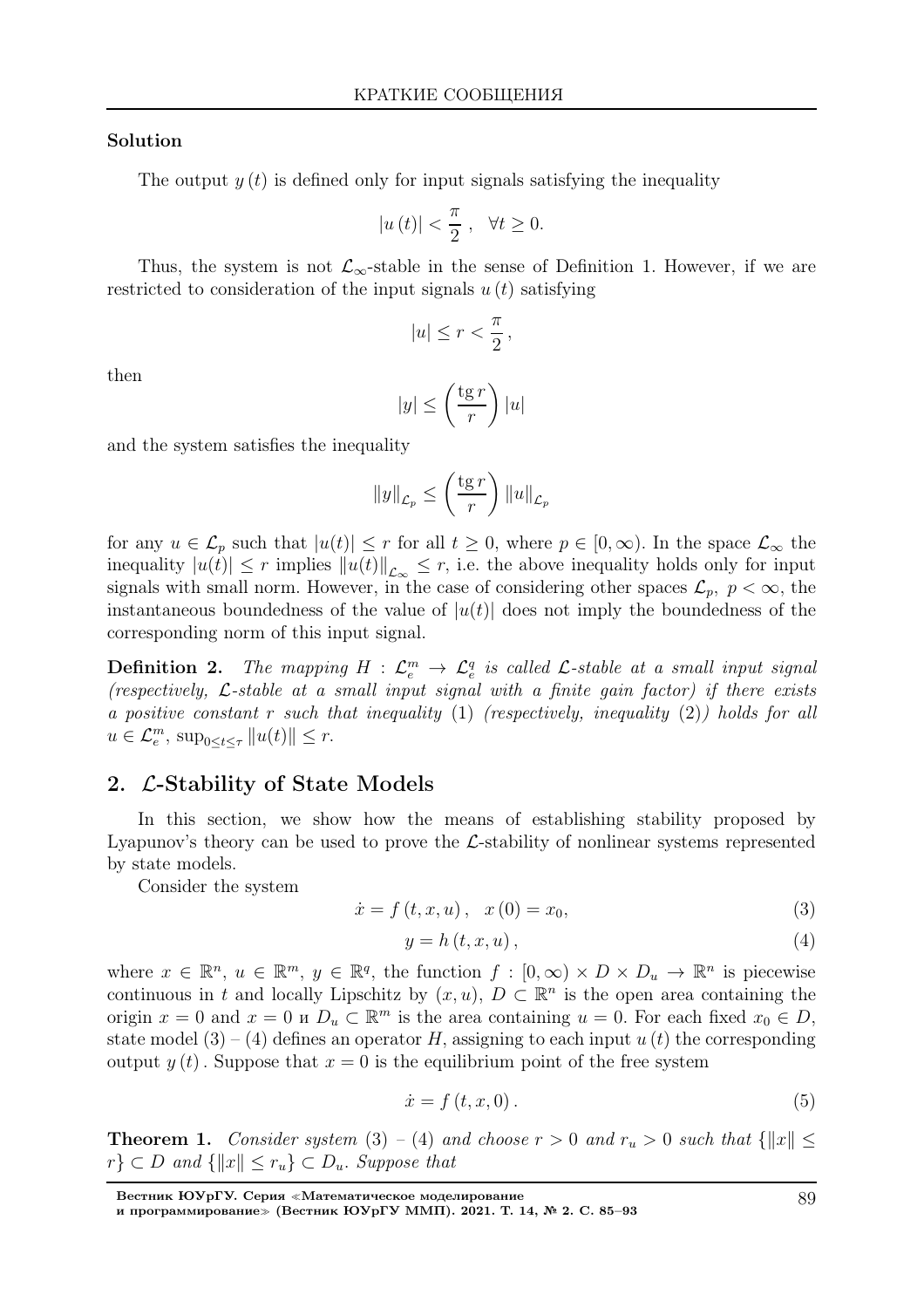#### Solution

The output  $y(t)$  is defined only for input signals satisfying the inequality

$$
\left|u\left(t\right)\right| < \frac{\pi}{2} \;, \;\; \forall t \geq 0.
$$

Thus, the system is not  $\mathcal{L}_{\infty}$ -stable in the sense of Definition 1. However, if we are restricted to consideration of the input signals  $u(t)$  satisfying

$$
|u| \le r < \frac{\pi}{2},
$$

then

$$
|y| \le \left(\frac{\operatorname{tg} r}{r}\right)|u|
$$

and the system satisfies the inequality

$$
||y||_{\mathcal{L}_p} \le \left(\frac{\operatorname{tg} r}{r}\right) ||u||_{\mathcal{L}_p}
$$

for any  $u \in \mathcal{L}_p$  such that  $|u(t)| \leq r$  for all  $t \geq 0$ , where  $p \in [0, \infty)$ . In the space  $\mathcal{L}_{\infty}$  the inequality  $|u(t)| \leq r$  implies  $||u(t)||_{\mathcal{L}_{\infty}} \leq r$ , i.e. the above inequality holds only for input signals with small norm. However, in the case of considering other spaces  $\mathcal{L}_p$ ,  $p < \infty$ , the instantaneous boundedness of the value of  $|u(t)|$  does not imply the boundedness of the corresponding norm of this input signal.

**Definition 2.** The mapping  $H : \mathcal{L}_e^m \to \mathcal{L}_e^q$  is called  $\mathcal{L}\text{-stable}$  at a small input signal (respectively,  $\mathcal{L}\text{-stable}$  at a small input signal with a finite gain factor) if there exists a positive constant r such that inequality  $(1)$  (respectively, inequality  $(2)$ ) holds for all  $u \in \mathcal{L}_e^m$ ,  $\sup_{0 \le t \le \tau} ||u(t)|| \le r$ .

#### 2. L-Stability of State Models

In this section, we show how the means of establishing stability proposed by Lyapunov's theory can be used to prove the  $\mathcal{L}$ -stability of nonlinear systems represented by state models.

Consider the system

$$
\dot{x} = f(t, x, u), \quad x(0) = x_0,\tag{3}
$$

$$
y = h(t, x, u), \tag{4}
$$

where  $x \in \mathbb{R}^n$ ,  $u \in \mathbb{R}^m$ ,  $y \in \mathbb{R}^q$ , the function  $f : [0, \infty) \times D \times D_u \to \mathbb{R}^n$  is piecewise continuous in t and locally Lipschitz by  $(x, u)$ ,  $D \subset \mathbb{R}^n$  is the open area containing the origin  $x = 0$  and  $x = 0$  u  $D_u \subset \mathbb{R}^m$  is the area containing  $u = 0$ . For each fixed  $x_0 \in D$ , state model (3) – (4) defines an operator H, assigning to each input  $u(t)$  the corresponding output  $y(t)$ . Suppose that  $x = 0$  is the equilibrium point of the free system

$$
\dot{x} = f(t, x, 0). \tag{5}
$$

**Theorem 1.** Consider system (3) – (4) and choose  $r > 0$  and  $r_u > 0$  such that  $\{||x|| \leq$  $r \} \subset D$  and  $\{||x|| \leq r_u\} \subset D_u$ . Suppose that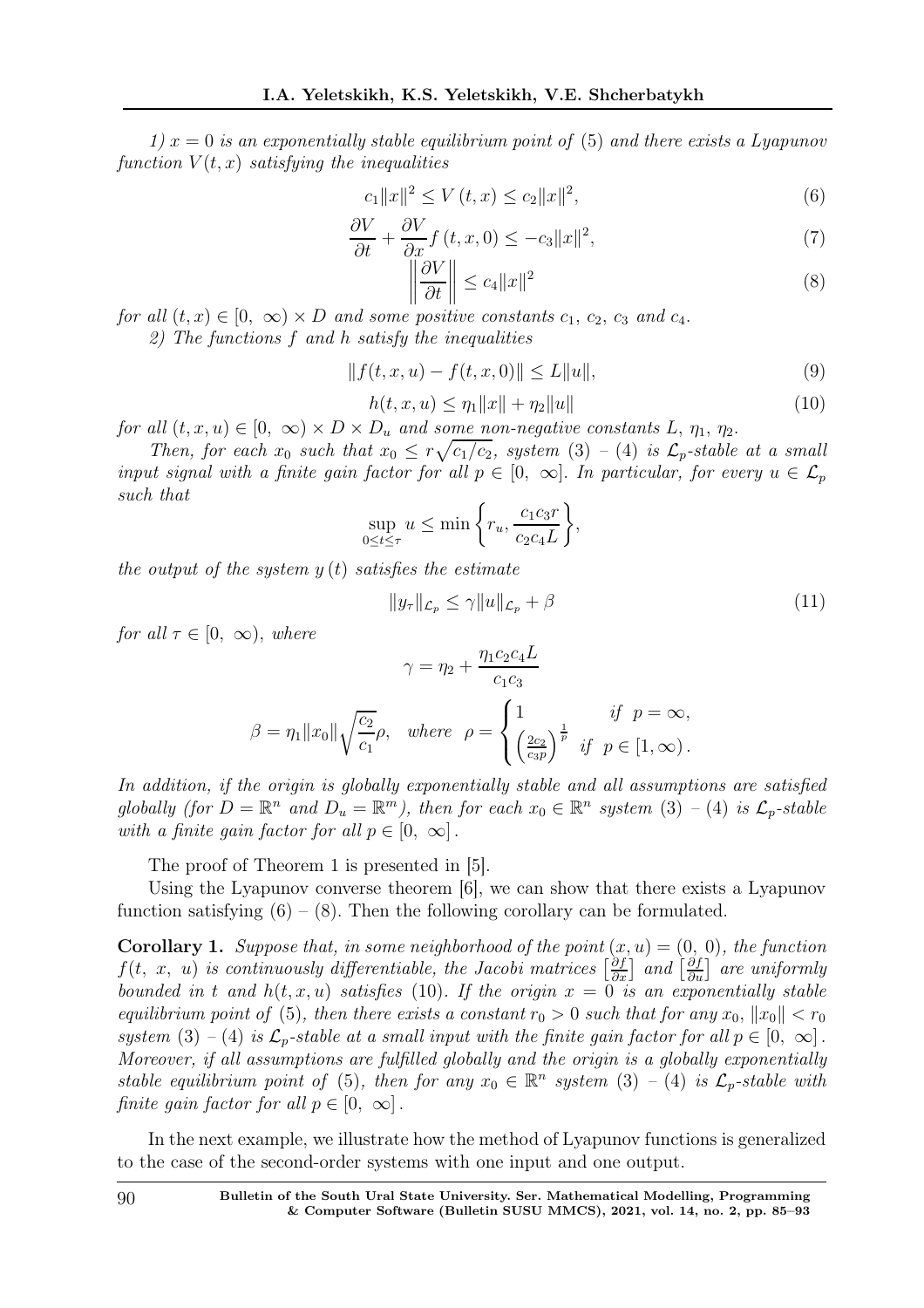1)  $x = 0$  is an exponentially stable equilibrium point of (5) and there exists a Lyapunov function  $V(t, x)$  satisfying the inequalities

$$
c_1||x||^2 \le V(t, x) \le c_2||x||^2,\tag{6}
$$

$$
\frac{\partial V}{\partial t} + \frac{\partial V}{\partial x} f(t, x, 0) \le -c_3 \|x\|^2,\tag{7}
$$

$$
\left\|\frac{\partial V}{\partial t}\right\| \le c_4 \|x\|^2\tag{8}
$$

for all  $(t, x) \in [0, \infty) \times D$  and some positive constants  $c_1, c_2, c_3$  and  $c_4$ .

2) The functions f and h satisfy the inequalities

$$
||f(t, x, u) - f(t, x, 0)|| \le L||u||,
$$
\n(9)

$$
h(t, x, u) \le \eta_1 \|x\| + \eta_2 \|u\| \tag{10}
$$

for all  $(t, x, u) \in [0, \infty) \times D \times D_u$  and some non-negative constants L,  $\eta_1, \eta_2$ .

Then, for each  $x_0$  such that  $x_0 \leq r \sqrt{c_1/c_2}$ , system (3) – (4) is  $\mathcal{L}_p$ -stable at a small input signal with a finite gain factor for all  $p \in [0, \infty]$ . In particular, for every  $u \in \mathcal{L}_p$ such that

$$
\sup_{0 \le t \le \tau} u \le \min \left\{ r_u, \frac{c_1 c_3 r}{c_2 c_4 L} \right\},\
$$

the output of the system  $y(t)$  satisfies the estimate

$$
||y_{\tau}||_{\mathcal{L}_p} \le \gamma ||u||_{\mathcal{L}_p} + \beta \tag{11}
$$

for all  $\tau \in [0, \infty)$ , where

$$
\gamma = \eta_2 + \frac{\eta_1 c_2 c_4 L}{c_1 c_3}
$$

$$
\beta = \eta_1 ||x_0|| \sqrt{\frac{c_2}{c_1}} \rho, \quad where \quad \rho = \begin{cases} 1 & \text{if } p = \infty, \\ \left(\frac{2c_2}{c_3 p}\right)^{\frac{1}{p}} & \text{if } p \in [1, \infty). \end{cases}
$$

In addition, if the origin is globally exponentially stable and all assumptions are satisfied globally (for  $D = \mathbb{R}^n$  and  $D_u = \mathbb{R}^m$ ), then for each  $x_0 \in \mathbb{R}^n$  system (3) - (4) is  $\mathcal{L}_p$ -stable with a finite gain factor for all  $p \in [0, \infty]$ .

The proof of Theorem 1 is presented in [5].

Using the Lyapunov converse theorem [6], we can show that there exists a Lyapunov function satisfying  $(6) - (8)$ . Then the following corollary can be formulated.

**Corollary 1.** Suppose that, in some neighborhood of the point  $(x, u) = (0, 0)$ , the function  $f(t, x, u)$  is continuously differentiable, the Jacobi matrices  $\left[\frac{\partial f}{\partial x}\right]$  and  $\left[\frac{\partial f}{\partial u}\right]$  are uniformly bounded in t and  $h(t, x, u)$  satisfies (10). If the origin  $x = 0$  is an exponentially stable equilibrium point of (5), then there exists a constant  $r_0 > 0$  such that for any  $x_0, \|x_0\| < r_0$ system (3) – (4) is  $\mathcal{L}_p$ -stable at a small input with the finite gain factor for all  $p \in [0, \infty]$ . Moreover, if all assumptions are fulfilled globally and the origin is a globally exponentially stable equilibrium point of (5), then for any  $x_0 \in \mathbb{R}^n$  system (3) – (4) is  $\mathcal{L}_p$ -stable with finite gain factor for all  $p \in [0, \infty]$ .

In the next example, we illustrate how the method of Lyapunov functions is generalized to the case of the second-order systems with one input and one output.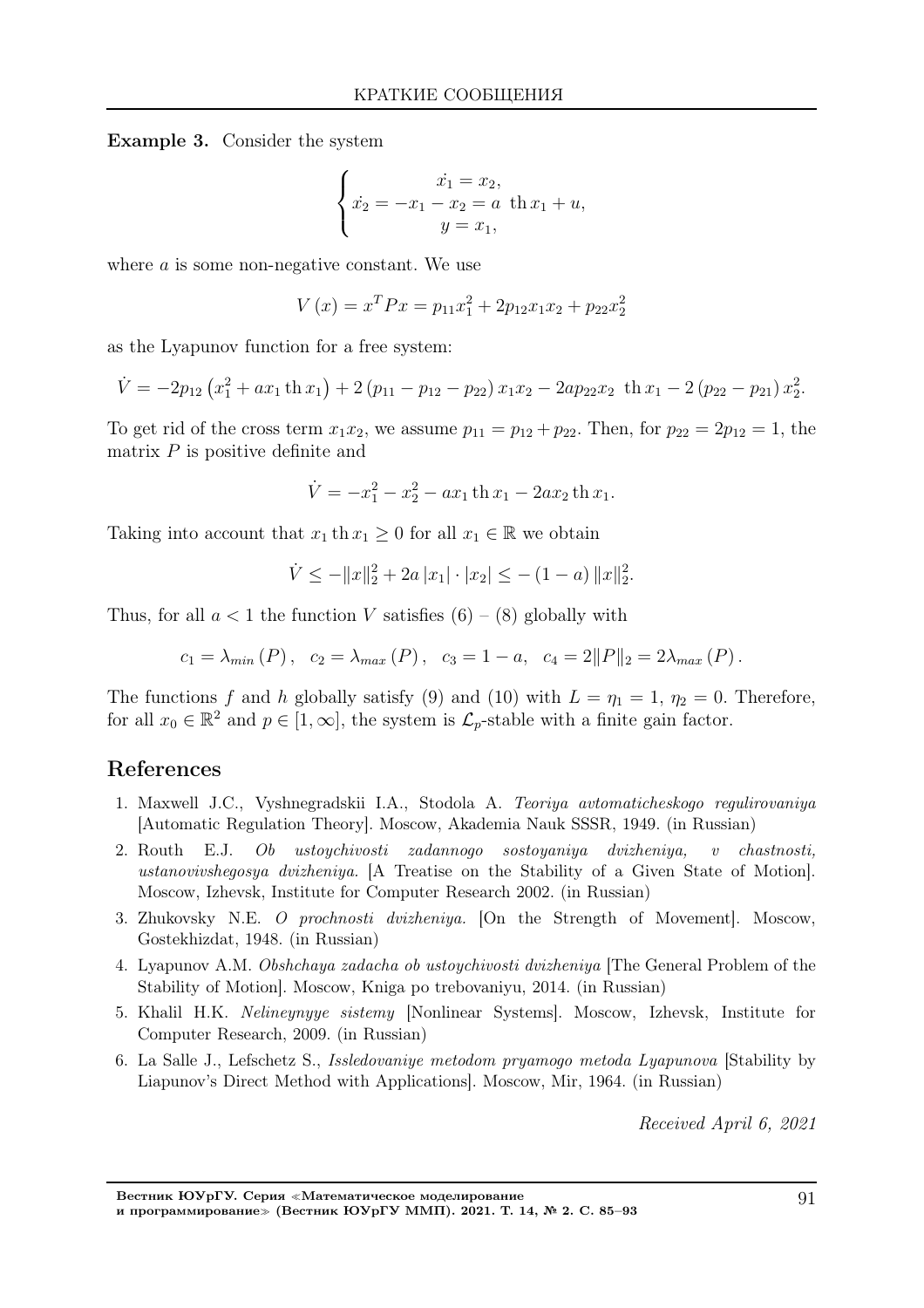Example 3. Consider the system

$$
\begin{cases}\n\dot{x}_1 = x_2, \\
\dot{x}_2 = -x_1 - x_2 = a \text{ th } x_1 + u, \\
y = x_1,\n\end{cases}
$$

where  $\alpha$  is some non-negative constant. We use

$$
V(x) = xT P x = p11x12 + 2p12x1x2 + p22x22
$$

as the Lyapunov function for a free system:

$$
\dot{V} = -2p_{12} \left( x_1^2 + ax_1 \th x_1 \right) + 2 \left( p_{11} - p_{12} - p_{22} \right) x_1 x_2 - 2ap_{22} x_2 \th x_1 - 2 \left( p_{22} - p_{21} \right) x_2^2.
$$

To get rid of the cross term  $x_1x_2$ , we assume  $p_{11} = p_{12} + p_{22}$ . Then, for  $p_{22} = 2p_{12} = 1$ , the matrix  $P$  is positive definite and

$$
\dot{V} = -x_1^2 - x_2^2 - ax_1 \th x_1 - 2ax_2 \th x_1.
$$

Taking into account that  $x_1$  th  $x_1 \geq 0$  for all  $x_1 \in \mathbb{R}$  we obtain

$$
\dot{V} \le -||x||_2^2 + 2a|x_1| \cdot |x_2| \le -(1-a) ||x||_2^2.
$$

Thus, for all  $a < 1$  the function V satisfies  $(6) - (8)$  globally with

$$
c_1 = \lambda_{min}(P)
$$
,  $c_2 = \lambda_{max}(P)$ ,  $c_3 = 1 - a$ ,  $c_4 = 2||P||_2 = 2\lambda_{max}(P)$ .

The functions f and h globally satisfy (9) and (10) with  $L = \eta_1 = 1$ ,  $\eta_2 = 0$ . Therefore, for all  $x_0 \in \mathbb{R}^2$  and  $p \in [1,\infty]$ , the system is  $\mathcal{L}_p$ -stable with a finite gain factor.

## References

- 1. Maxwell J.C., Vyshnegradskii I.A., Stodola A. Teoriya avtomaticheskogo regulirovaniya [Automatic Regulation Theory]. Moscow, Akademia Nauk SSSR, 1949. (in Russian)
- 2. Routh E.J. Ob ustoychivosti zadannogo sostoyaniya dvizheniya, v chastnosti, ustanovivshegosya dvizheniya. [A Treatise on the Stability of a Given State of Motion]. Moscow, Izhevsk, Institute for Computer Research 2002. (in Russian)
- 3. Zhukovsky N.E. O prochnosti dvizheniya. [On the Strength of Movement]. Moscow, Gostekhizdat, 1948. (in Russian)
- 4. Lyapunov A.M. Obshchaya zadacha ob ustoychivosti dvizheniya [The General Problem of the Stability of Motion]. Moscow, Kniga po trebovaniyu, 2014. (in Russian)
- 5. Khalil H.K. Nelineynyye sistemy [Nonlinear Systems]. Moscow, Izhevsk, Institute for Computer Research, 2009. (in Russian)
- 6. La Salle J., Lefschetz S., Issledovaniye metodom pryamogo metoda Lyapunova [Stability by Liapunov's Direct Method with Applications]. Moscow, Mir, 1964. (in Russian)

Received April 6, 2021

Вестник ЮУрГУ. Серия <sup>≪</sup>Математическое моделирование и программирование<sup>≫</sup> (Вестник ЮУрГУ ММП). 2021. Т. 14, № 2. С. 85–93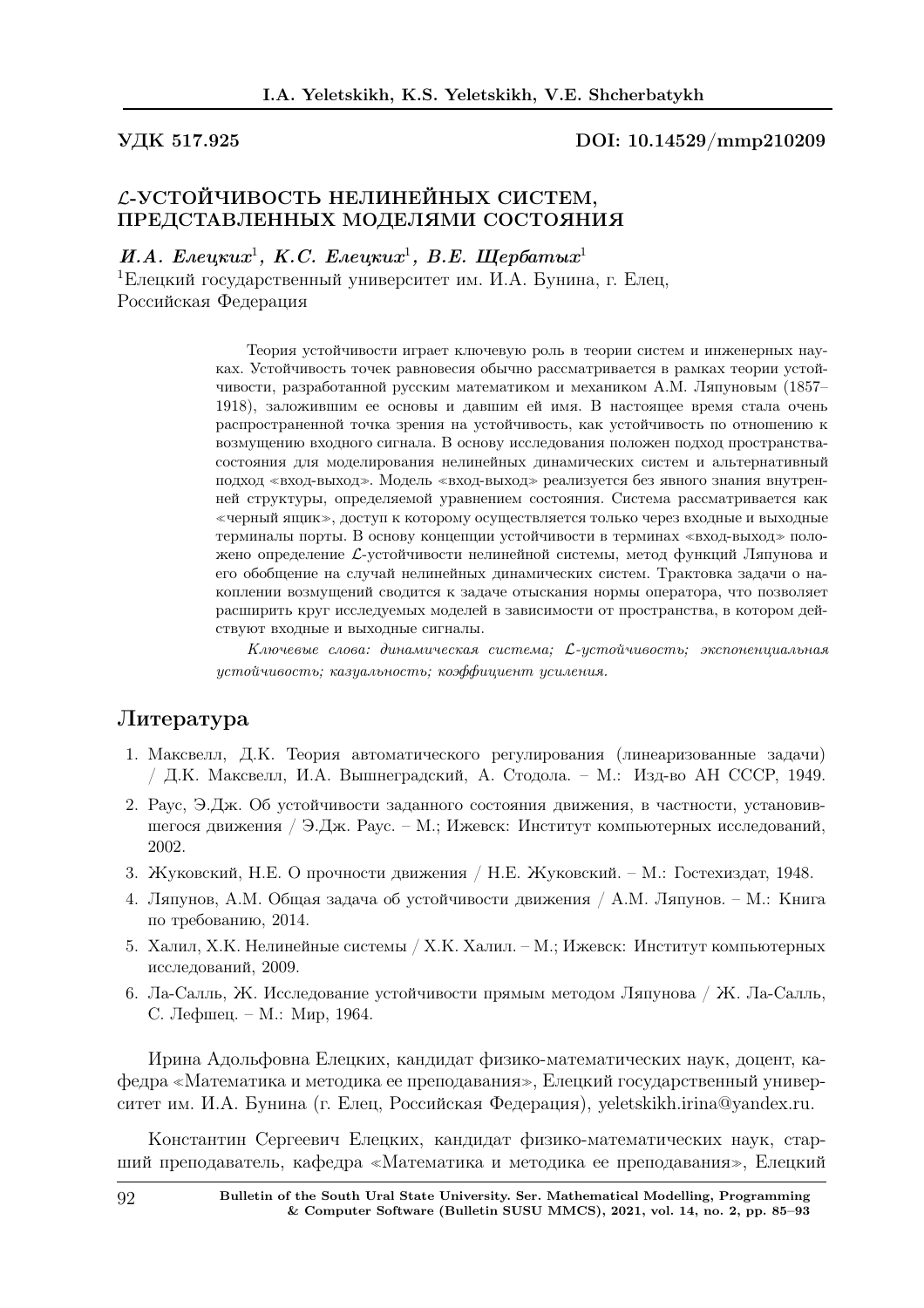#### УДК 517.925 DOI: 10.14529/mmp210209

# L-УСТОЙЧИВОСТЬ НЕЛИНЕЙНЫХ СИСТЕМ, ПРЕДСТАВЛЕННЫХ МОДЕЛЯМИ СОСТОЯНИЯ

И.А. Елецки $x^1$ , К.С. Елецки $x^1$ , В.Е. Щербаты $x^1$ 

<sup>1</sup>Елецкий государственный университет им. И.А. Бунина, г. Елец, Российская Федерация

> Теория устойчивости играет ключевую роль в теории систем и инженерных науках. Устойчивость точек равновесия обычно рассматривается в рамках теории устойчивости, разработанной русским математиком и механиком А.М. Ляпуновым (1857– 1918), заложившим ее основы и давшим ей имя. В настоящее время стала очень распространенной точка зрения на устойчивость, как устойчивость по отношению к возмущению входного сигнала. В основу исследования положен подход пространствасостояния для моделирования нелинейных динамических систем и альтернативный подход <sup>≪</sup>вход-выход≫. Модель <sup>≪</sup>вход-выход<sup>≫</sup> реализуется без явного знания внутренней структуры, определяемой уравнением состояния. Система рассматривается как <sup>≪</sup>черный ящик≫, доступ к которому осуществляется только через входные и выходные терминалы порты. В основу концепции устойчивости в терминах <sup>≪</sup>вход-выход<sup>≫</sup> положено определение L-устойчивости нелинейной системы, метод функций Ляпунова и его обобщение на случай нелинейных динамических систем. Трактовка задачи о накоплении возмущений сводится к задаче отыскания нормы оператора, что позволяет расширить круг исследуемых моделей в зависимости от пространства, в котором действуют входные и выходные сигналы.

> Ключевые слова: динамическая система; L-устойчивость; экспоненциальная устойчивость; казуальность; коэффициент усиления.

## Литература

- 1. Максвелл, Д.К. Теория автоматического регулирования (линеаризованные задачи) / Д.К. Максвелл, И.А. Вышнеградский, А. Стодола. – М.: Изд-во АН СССР, 1949.
- 2. Раус, Э.Дж. Об устойчивости заданного состояния движения, в частности, установившегося движения / Э.Дж. Раус. – М.; Ижевск: Институт компьютерных исследований, 2002.
- 3. Жуковский, Н.Е. О прочности движения / Н.Е. Жуковский. М.: Гостехиздат, 1948.
- 4. Ляпунов, А.М. Общая задача об устойчивости движения / А.М. Ляпунов. М.: Книга по требованию, 2014.
- 5. Халил, Х.К. Нелинейные системы / Х.К. Халил. М.; Ижевск: Институт компьютерных исследований, 2009.
- 6. Ла-Салль, Ж. Исследование устойчивости прямым методом Ляпунова / Ж. Ла-Салль, С. Лефшец. – М.: Мир, 1964.

Ирина Адольфовна Елецких, кандидат физико-математических наук, доцент, кафедра <sup>≪</sup>Математика и методика ее преподавания≫, Елецкий государственный университет им. И.А. Бунина (г. Елец, Российская Федерация), yeletskikh.irina@yandex.ru.

Константин Сергеевич Елецких, кандидат физико-математических наук, старший преподаватель, кафедра <sup>≪</sup>Математика и методика ее преподавания≫, Елецкий